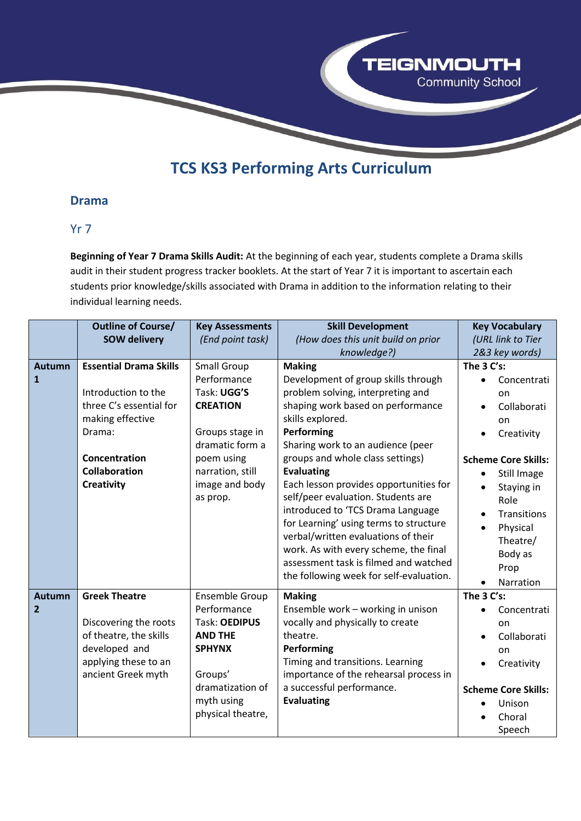

# **TCS KS3 Performing Arts Curriculum**

#### **Drama**

#### Yr 7

**Beginning of Year 7 Drama Skills Audit:** At the beginning of each year, students complete a Drama skills audit in their student progress tracker booklets. At the start of Year 7 it is important to ascertain each students prior knowledge/skills associated with Drama in addition to the information relating to their individual learning needs.

|                                 | <b>Outline of Course/</b>                                                                                                                                                   | <b>Key Assessments</b>                                                                                                                                                    | <b>Skill Development</b>                                                                                                                                                                                                                                                                                                                                                                                                                                                                                                                                                                          | <b>Key Vocabulary</b>                                                                                                                                                                                                                                                                       |
|---------------------------------|-----------------------------------------------------------------------------------------------------------------------------------------------------------------------------|---------------------------------------------------------------------------------------------------------------------------------------------------------------------------|---------------------------------------------------------------------------------------------------------------------------------------------------------------------------------------------------------------------------------------------------------------------------------------------------------------------------------------------------------------------------------------------------------------------------------------------------------------------------------------------------------------------------------------------------------------------------------------------------|---------------------------------------------------------------------------------------------------------------------------------------------------------------------------------------------------------------------------------------------------------------------------------------------|
|                                 | <b>SOW delivery</b>                                                                                                                                                         | (End point task)                                                                                                                                                          | (How does this unit build on prior                                                                                                                                                                                                                                                                                                                                                                                                                                                                                                                                                                | (URL link to Tier                                                                                                                                                                                                                                                                           |
|                                 |                                                                                                                                                                             |                                                                                                                                                                           | knowledge?)                                                                                                                                                                                                                                                                                                                                                                                                                                                                                                                                                                                       | 2&3 key words)                                                                                                                                                                                                                                                                              |
| <b>Autumn</b><br>$\mathbf{1}$   | <b>Essential Drama Skills</b><br>Introduction to the<br>three C's essential for<br>making effective<br>Drama:<br>Concentration<br><b>Collaboration</b><br><b>Creativity</b> | <b>Small Group</b><br>Performance<br>Task: UGG'S<br><b>CREATION</b><br>Groups stage in<br>dramatic form a<br>poem using<br>narration, still<br>image and body<br>as prop. | <b>Making</b><br>Development of group skills through<br>problem solving, interpreting and<br>shaping work based on performance<br>skills explored.<br>Performing<br>Sharing work to an audience (peer<br>groups and whole class settings)<br><b>Evaluating</b><br>Each lesson provides opportunities for<br>self/peer evaluation. Students are<br>introduced to 'TCS Drama Language<br>for Learning' using terms to structure<br>verbal/written evaluations of their<br>work. As with every scheme, the final<br>assessment task is filmed and watched<br>the following week for self-evaluation. | The 3 C's:<br>Concentrati<br>$\bullet$<br>on<br>Collaborati<br>on<br>Creativity<br><b>Scheme Core Skills:</b><br><b>Still Image</b><br>$\bullet$<br>Staying in<br>$\bullet$<br>Role<br><b>Transitions</b><br>Physical<br>$\bullet$<br>Theatre/<br>Body as<br>Prop<br>Narration<br>$\bullet$ |
| <b>Autumn</b><br>$\overline{2}$ | <b>Greek Theatre</b><br>Discovering the roots<br>of theatre, the skills<br>developed and<br>applying these to an<br>ancient Greek myth                                      | Ensemble Group<br>Performance<br>Task: OEDIPUS<br><b>AND THE</b><br><b>SPHYNX</b><br>Groups'<br>dramatization of<br>myth using<br>physical theatre,                       | <b>Making</b><br>Ensemble work - working in unison<br>vocally and physically to create<br>theatre.<br>Performing<br>Timing and transitions. Learning<br>importance of the rehearsal process in<br>a successful performance.<br><b>Evaluating</b>                                                                                                                                                                                                                                                                                                                                                  | The 3 C's:<br>Concentrati<br>on<br>Collaborati<br>on<br>Creativity<br>$\bullet$<br><b>Scheme Core Skills:</b><br>Unison<br>Choral<br>Speech                                                                                                                                                 |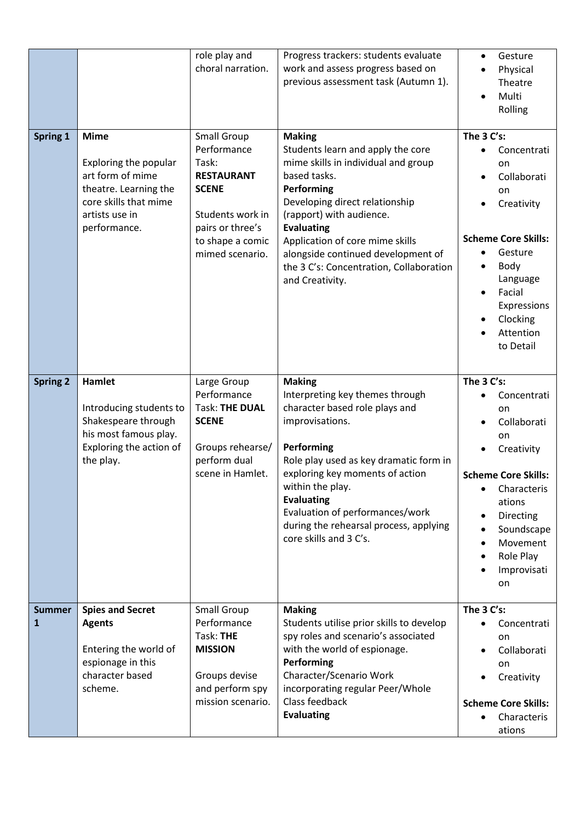|                               |                                                                                                                                              | role play and<br>choral narration.                                                                                                                             | Progress trackers: students evaluate<br>work and assess progress based on<br>previous assessment task (Autumn 1).                                                                                                                                                                                                                                 | Gesture<br>$\bullet$<br>Physical<br>Theatre<br>Multi<br>$\bullet$<br>Rolling                                                                                                                                                                                     |
|-------------------------------|----------------------------------------------------------------------------------------------------------------------------------------------|----------------------------------------------------------------------------------------------------------------------------------------------------------------|---------------------------------------------------------------------------------------------------------------------------------------------------------------------------------------------------------------------------------------------------------------------------------------------------------------------------------------------------|------------------------------------------------------------------------------------------------------------------------------------------------------------------------------------------------------------------------------------------------------------------|
| Spring 1                      | <b>Mime</b><br>Exploring the popular<br>art form of mime<br>theatre. Learning the<br>core skills that mime<br>artists use in<br>performance. | <b>Small Group</b><br>Performance<br>Task:<br><b>RESTAURANT</b><br><b>SCENE</b><br>Students work in<br>pairs or three's<br>to shape a comic<br>mimed scenario. | <b>Making</b><br>Students learn and apply the core<br>mime skills in individual and group<br>based tasks.<br>Performing<br>Developing direct relationship<br>(rapport) with audience.<br><b>Evaluating</b><br>Application of core mime skills<br>alongside continued development of<br>the 3 C's: Concentration, Collaboration<br>and Creativity. | The 3 C's:<br>Concentrati<br>$\bullet$<br>on<br>Collaborati<br>$\bullet$<br>on<br>Creativity<br><b>Scheme Core Skills:</b><br>Gesture<br>Body<br>Language<br>Facial<br>$\bullet$<br>Expressions<br>Clocking<br>$\bullet$<br>Attention<br>to Detail               |
| <b>Spring 2</b>               | Hamlet<br>Introducing students to<br>Shakespeare through<br>his most famous play.<br>Exploring the action of<br>the play.                    | Large Group<br>Performance<br><b>Task: THE DUAL</b><br><b>SCENE</b><br>Groups rehearse/<br>perform dual<br>scene in Hamlet.                                    | <b>Making</b><br>Interpreting key themes through<br>character based role plays and<br>improvisations.<br>Performing<br>Role play used as key dramatic form in<br>exploring key moments of action<br>within the play.<br><b>Evaluating</b><br>Evaluation of performances/work<br>during the rehearsal process, applying<br>core skills and 3 C's.  | The 3 C's:<br>Concentrati<br>$\bullet$<br>on<br>Collaborati<br>$\bullet$<br>on<br>Creativity<br><b>Scheme Core Skills:</b><br>Characteris<br>ations<br>Directing<br>٠<br>Soundscape<br>$\bullet$<br>Movement<br>$\bullet$<br>Role Play<br>٠<br>Improvisati<br>on |
| <b>Summer</b><br>$\mathbf{1}$ | <b>Spies and Secret</b><br><b>Agents</b><br>Entering the world of<br>espionage in this<br>character based<br>scheme.                         | <b>Small Group</b><br>Performance<br>Task: THE<br><b>MISSION</b><br>Groups devise<br>and perform spy<br>mission scenario.                                      | <b>Making</b><br>Students utilise prior skills to develop<br>spy roles and scenario's associated<br>with the world of espionage.<br>Performing<br>Character/Scenario Work<br>incorporating regular Peer/Whole<br>Class feedback<br><b>Evaluating</b>                                                                                              | The 3 C's:<br>Concentrati<br>$\bullet$<br>on<br>Collaborati<br>$\bullet$<br>on<br>Creativity<br><b>Scheme Core Skills:</b><br>Characteris<br>$\bullet$<br>ations                                                                                                 |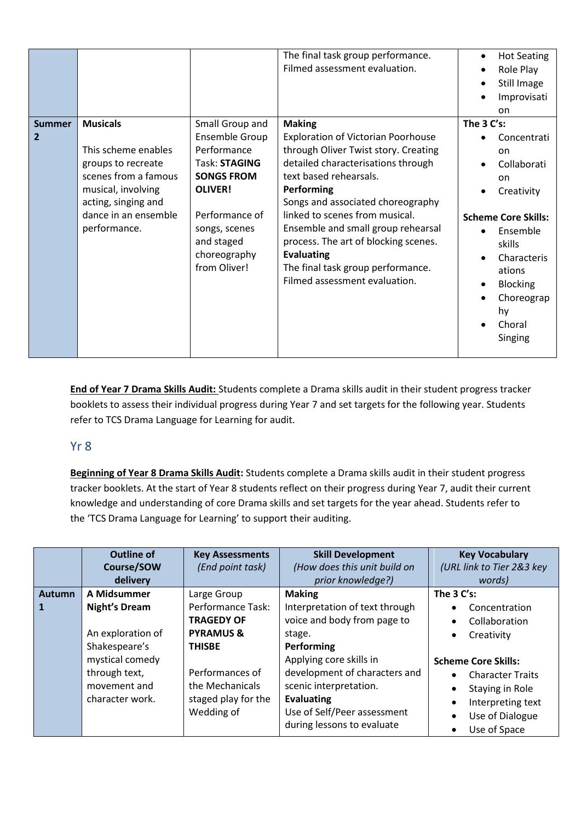|                               |                                                                                                                                                                           |                                                                                                                                                                                           | The final task group performance.<br>Filmed assessment evaluation.                                                                                                                                                                                                                                                                                                                                                               | <b>Hot Seating</b><br>$\bullet$<br>Role Play<br>$\bullet$<br>Still Image<br>$\bullet$<br>Improvisati<br>$\bullet$<br>on                                                                                                                                       |
|-------------------------------|---------------------------------------------------------------------------------------------------------------------------------------------------------------------------|-------------------------------------------------------------------------------------------------------------------------------------------------------------------------------------------|----------------------------------------------------------------------------------------------------------------------------------------------------------------------------------------------------------------------------------------------------------------------------------------------------------------------------------------------------------------------------------------------------------------------------------|---------------------------------------------------------------------------------------------------------------------------------------------------------------------------------------------------------------------------------------------------------------|
| <b>Summer</b><br>$\mathbf{2}$ | <b>Musicals</b><br>This scheme enables<br>groups to recreate<br>scenes from a famous<br>musical, involving<br>acting, singing and<br>dance in an ensemble<br>performance. | Small Group and<br>Ensemble Group<br>Performance<br>Task: STAGING<br><b>SONGS FROM</b><br><b>OLIVER!</b><br>Performance of<br>songs, scenes<br>and staged<br>choreography<br>from Oliver! | <b>Making</b><br><b>Exploration of Victorian Poorhouse</b><br>through Oliver Twist story. Creating<br>detailed characterisations through<br>text based rehearsals.<br>Performing<br>Songs and associated choreography<br>linked to scenes from musical.<br>Ensemble and small group rehearsal<br>process. The art of blocking scenes.<br><b>Evaluating</b><br>The final task group performance.<br>Filmed assessment evaluation. | The 3 C's:<br>Concentrati<br><sub>on</sub><br>Collaborati<br>on<br>Creativity<br><b>Scheme Core Skills:</b><br>Ensemble<br>$\bullet$<br>skills<br>Characteris<br>ations<br><b>Blocking</b><br>$\bullet$<br>Choreograp<br>$\bullet$<br>hy<br>Choral<br>Singing |

**End of Year 7 Drama Skills Audit:** Students complete a Drama skills audit in their student progress tracker booklets to assess their individual progress during Year 7 and set targets for the following year. Students refer to TCS Drama Language for Learning for audit.

#### Yr 8

**Beginning of Year 8 Drama Skills Audit:** Students complete a Drama skills audit in their student progress tracker booklets. At the start of Year 8 students reflect on their progress during Year 7, audit their current knowledge and understanding of core Drama skills and set targets for the year ahead. Students refer to the 'TCS Drama Language for Learning' to support their auditing.

|                     | <b>Outline of</b><br>Course/SOW<br>delivery                                                                                                      | <b>Key Assessments</b><br>(End point task)                                                                                                                                       | <b>Skill Development</b><br>(How does this unit build on<br>prior knowledge?)                                                                                                                                                                                                  | <b>Key Vocabulary</b><br>(URL link to Tier 2&3 key<br>words)                                                                                                                                                                                                                                              |
|---------------------|--------------------------------------------------------------------------------------------------------------------------------------------------|----------------------------------------------------------------------------------------------------------------------------------------------------------------------------------|--------------------------------------------------------------------------------------------------------------------------------------------------------------------------------------------------------------------------------------------------------------------------------|-----------------------------------------------------------------------------------------------------------------------------------------------------------------------------------------------------------------------------------------------------------------------------------------------------------|
| <b>Autumn</b><br>-1 | A Midsummer<br><b>Night's Dream</b><br>An exploration of<br>Shakespeare's<br>mystical comedy<br>through text,<br>movement and<br>character work. | Large Group<br><b>Performance Task:</b><br><b>TRAGEDY OF</b><br><b>PYRAMUS &amp;</b><br><b>THISBE</b><br>Performances of<br>the Mechanicals<br>staged play for the<br>Wedding of | <b>Making</b><br>Interpretation of text through<br>voice and body from page to<br>stage.<br>Performing<br>Applying core skills in<br>development of characters and<br>scenic interpretation.<br><b>Evaluating</b><br>Use of Self/Peer assessment<br>during lessons to evaluate | The $3 C's$ :<br>Concentration<br>$\bullet$<br>Collaboration<br>$\bullet$<br>Creativity<br>$\bullet$<br><b>Scheme Core Skills:</b><br><b>Character Traits</b><br>$\bullet$<br>Staying in Role<br>$\bullet$<br>Interpreting text<br>$\bullet$<br>Use of Dialogue<br>$\bullet$<br>Use of Space<br>$\bullet$ |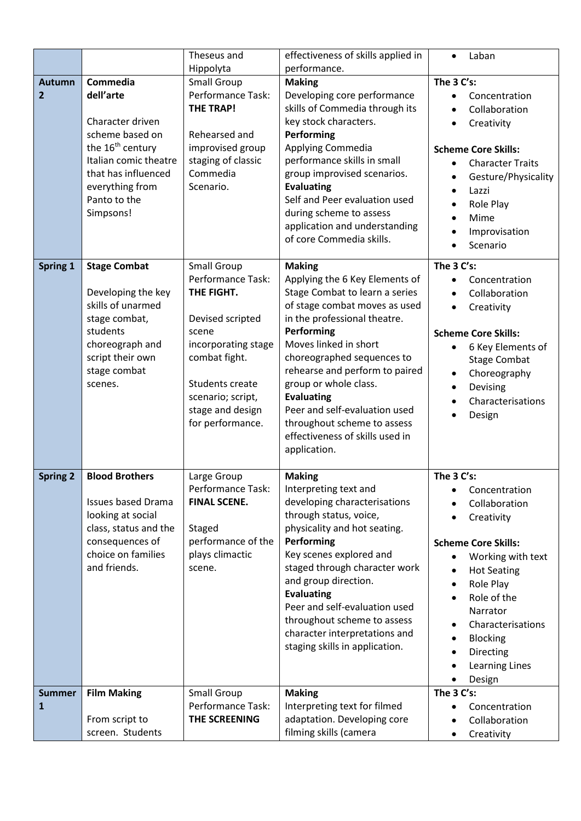|                                 |                                                                                                                                                                                              | Theseus and                                                                                                                                                                                                | effectiveness of skills applied in                                                                                                                                                                                                                                                                                                                                                                                         | Laban<br>$\bullet$                                                                                                                                                                                                                                                         |
|---------------------------------|----------------------------------------------------------------------------------------------------------------------------------------------------------------------------------------------|------------------------------------------------------------------------------------------------------------------------------------------------------------------------------------------------------------|----------------------------------------------------------------------------------------------------------------------------------------------------------------------------------------------------------------------------------------------------------------------------------------------------------------------------------------------------------------------------------------------------------------------------|----------------------------------------------------------------------------------------------------------------------------------------------------------------------------------------------------------------------------------------------------------------------------|
|                                 |                                                                                                                                                                                              | Hippolyta                                                                                                                                                                                                  | performance.                                                                                                                                                                                                                                                                                                                                                                                                               |                                                                                                                                                                                                                                                                            |
| <b>Autumn</b><br>$\overline{2}$ | Commedia<br>dell'arte<br>Character driven<br>scheme based on<br>the 16 <sup>th</sup> century<br>Italian comic theatre<br>that has influenced<br>everything from<br>Panto to the<br>Simpsons! | <b>Small Group</b><br>Performance Task:<br><b>THE TRAP!</b><br>Rehearsed and<br>improvised group<br>staging of classic<br>Commedia<br>Scenario.                                                            | <b>Making</b><br>Developing core performance<br>skills of Commedia through its<br>key stock characters.<br>Performing<br>Applying Commedia<br>performance skills in small<br>group improvised scenarios.<br><b>Evaluating</b><br>Self and Peer evaluation used<br>during scheme to assess<br>application and understanding<br>of core Commedia skills.                                                                     | The 3 C's:<br>Concentration<br>Collaboration<br>Creativity<br><b>Scheme Core Skills:</b><br><b>Character Traits</b><br>$\bullet$<br>Gesture/Physicality<br>Lazzi<br>Role Play<br>Mime<br>Improvisation<br>Scenario                                                         |
| Spring 1                        | <b>Stage Combat</b><br>Developing the key<br>skills of unarmed<br>stage combat,<br>students<br>choreograph and<br>script their own<br>stage combat<br>scenes.                                | <b>Small Group</b><br>Performance Task:<br>THE FIGHT.<br>Devised scripted<br>scene<br>incorporating stage<br>combat fight.<br>Students create<br>scenario; script,<br>stage and design<br>for performance. | <b>Making</b><br>Applying the 6 Key Elements of<br>Stage Combat to learn a series<br>of stage combat moves as used<br>in the professional theatre.<br>Performing<br>Moves linked in short<br>choreographed sequences to<br>rehearse and perform to paired<br>group or whole class.<br><b>Evaluating</b><br>Peer and self-evaluation used<br>throughout scheme to assess<br>effectiveness of skills used in<br>application. | The 3 C's:<br>Concentration<br>Collaboration<br>Creativity<br><b>Scheme Core Skills:</b><br>6 Key Elements of<br><b>Stage Combat</b><br>Choreography<br>Devising<br>Characterisations<br>Design                                                                            |
| <b>Spring 2</b>                 | <b>Blood Brothers</b><br><b>Issues based Drama</b><br>looking at social<br>class, status and the<br>consequences of<br>choice on families<br>and friends.                                    | Large Group<br>Performance Task:<br><b>FINAL SCENE.</b><br>Staged<br>performance of the<br>plays climactic<br>scene.                                                                                       | <b>Making</b><br>Interpreting text and<br>developing characterisations<br>through status, voice,<br>physicality and hot seating.<br>Performing<br>Key scenes explored and<br>staged through character work<br>and group direction.<br><b>Evaluating</b><br>Peer and self-evaluation used<br>throughout scheme to assess<br>character interpretations and<br>staging skills in application.                                 | The 3 C's:<br>Concentration<br>Collaboration<br>Creativity<br><b>Scheme Core Skills:</b><br>Working with text<br><b>Hot Seating</b><br>Role Play<br>Role of the<br>Narrator<br>Characterisations<br><b>Blocking</b><br><b>Directing</b><br><b>Learning Lines</b><br>Design |
| <b>Summer</b><br>1              | <b>Film Making</b><br>From script to<br>screen. Students                                                                                                                                     | <b>Small Group</b><br>Performance Task:<br>THE SCREENING                                                                                                                                                   | <b>Making</b><br>Interpreting text for filmed<br>adaptation. Developing core<br>filming skills (camera                                                                                                                                                                                                                                                                                                                     | The 3 C's:<br>Concentration<br>Collaboration<br>Creativity<br>$\bullet$                                                                                                                                                                                                    |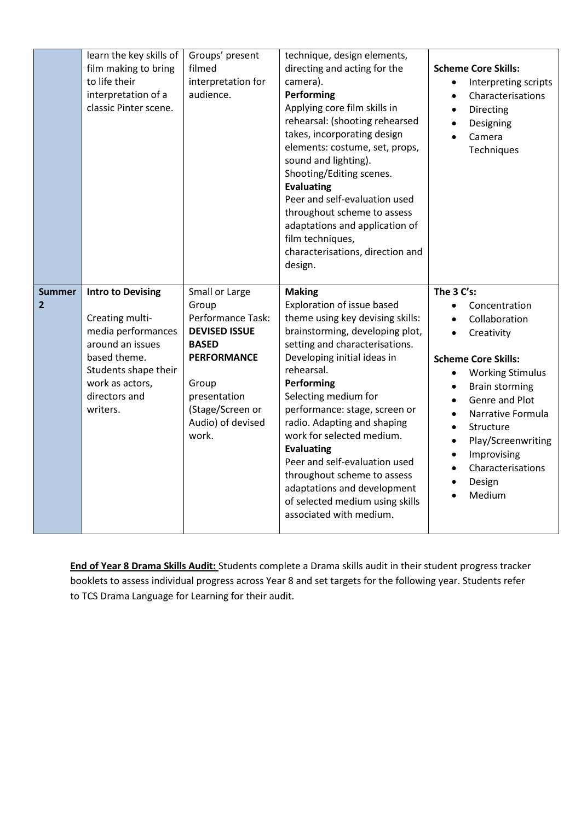|                                 | learn the key skills of<br>film making to bring<br>to life their<br>interpretation of a<br>classic Pinter scene.                                                              | Groups' present<br>filmed<br>interpretation for<br>audience.                                                                                                                          | technique, design elements,<br>directing and acting for the<br>camera).<br>Performing<br>Applying core film skills in<br>rehearsal: (shooting rehearsed<br>takes, incorporating design<br>elements: costume, set, props,<br>sound and lighting).<br>Shooting/Editing scenes.<br><b>Evaluating</b><br>Peer and self-evaluation used<br>throughout scheme to assess<br>adaptations and application of<br>film techniques,<br>characterisations, direction and<br>design.                                                 | <b>Scheme Core Skills:</b><br>Interpreting scripts<br>$\bullet$<br>Characterisations<br>$\bullet$<br>Directing<br>$\bullet$<br>Designing<br>$\bullet$<br>Camera<br>$\bullet$<br>Techniques                                                                                                                                                                                                                       |
|---------------------------------|-------------------------------------------------------------------------------------------------------------------------------------------------------------------------------|---------------------------------------------------------------------------------------------------------------------------------------------------------------------------------------|------------------------------------------------------------------------------------------------------------------------------------------------------------------------------------------------------------------------------------------------------------------------------------------------------------------------------------------------------------------------------------------------------------------------------------------------------------------------------------------------------------------------|------------------------------------------------------------------------------------------------------------------------------------------------------------------------------------------------------------------------------------------------------------------------------------------------------------------------------------------------------------------------------------------------------------------|
| <b>Summer</b><br>$\overline{2}$ | <b>Intro to Devising</b><br>Creating multi-<br>media performances<br>around an issues<br>based theme.<br>Students shape their<br>work as actors,<br>directors and<br>writers. | Small or Large<br>Group<br>Performance Task:<br><b>DEVISED ISSUE</b><br><b>BASED</b><br><b>PERFORMANCE</b><br>Group<br>presentation<br>(Stage/Screen or<br>Audio) of devised<br>work. | <b>Making</b><br>Exploration of issue based<br>theme using key devising skills:<br>brainstorming, developing plot,<br>setting and characterisations.<br>Developing initial ideas in<br>rehearsal.<br>Performing<br>Selecting medium for<br>performance: stage, screen or<br>radio. Adapting and shaping<br>work for selected medium.<br><b>Evaluating</b><br>Peer and self-evaluation used<br>throughout scheme to assess<br>adaptations and development<br>of selected medium using skills<br>associated with medium. | The 3 C's:<br>Concentration<br>$\bullet$<br>Collaboration<br>$\bullet$<br>Creativity<br>$\bullet$<br><b>Scheme Core Skills:</b><br><b>Working Stimulus</b><br>$\bullet$<br><b>Brain storming</b><br>$\bullet$<br>Genre and Plot<br>$\bullet$<br>Narrative Formula<br>$\bullet$<br>Structure<br>$\bullet$<br>Play/Screenwriting<br>$\bullet$<br>Improvising<br>$\bullet$<br>Characterisations<br>Design<br>Medium |

**End of Year 8 Drama Skills Audit:** Students complete a Drama skills audit in their student progress tracker booklets to assess individual progress across Year 8 and set targets for the following year. Students refer to TCS Drama Language for Learning for their audit.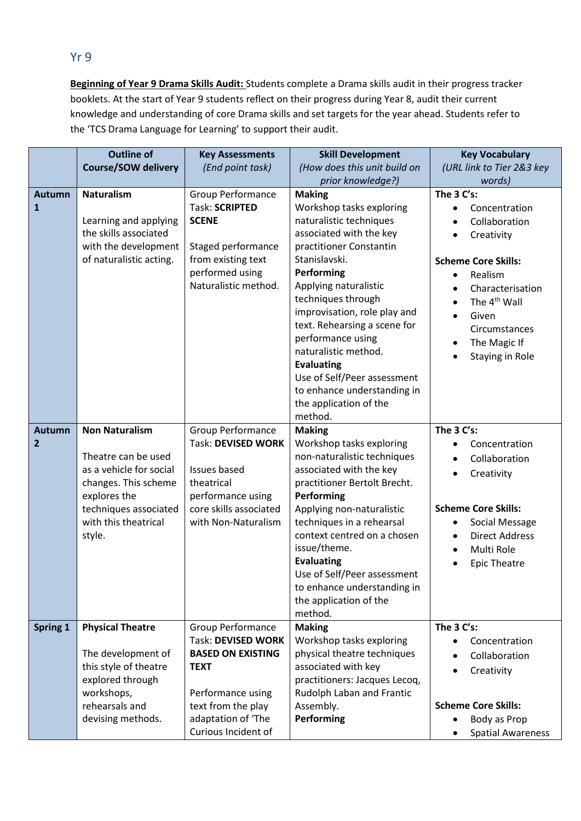#### Yr 9

**Beginning of Year 9 Drama Skills Audit:** Students complete a Drama skills audit in their progress tracker booklets. At the start of Year 9 students reflect on their progress during Year 8, audit their current knowledge and understanding of core Drama skills and set targets for the year ahead. Students refer to the 'TCS Drama Language for Learning' to support their audit.

|                                 | <b>Outline of</b>                                                                                                                                                          | <b>Key Assessments</b>                                                                                                                                                            | <b>Skill Development</b>                                                                                                                                                                                                                                                                                                                                                                                                                      | <b>Key Vocabulary</b>                                                                                                                                                                                               |
|---------------------------------|----------------------------------------------------------------------------------------------------------------------------------------------------------------------------|-----------------------------------------------------------------------------------------------------------------------------------------------------------------------------------|-----------------------------------------------------------------------------------------------------------------------------------------------------------------------------------------------------------------------------------------------------------------------------------------------------------------------------------------------------------------------------------------------------------------------------------------------|---------------------------------------------------------------------------------------------------------------------------------------------------------------------------------------------------------------------|
|                                 | <b>Course/SOW delivery</b>                                                                                                                                                 | (End point task)                                                                                                                                                                  | (How does this unit build on                                                                                                                                                                                                                                                                                                                                                                                                                  | (URL link to Tier 2&3 key                                                                                                                                                                                           |
|                                 |                                                                                                                                                                            |                                                                                                                                                                                   | prior knowledge?)                                                                                                                                                                                                                                                                                                                                                                                                                             | words)                                                                                                                                                                                                              |
| <b>Autumn</b><br>1              | <b>Naturalism</b><br>Learning and applying<br>the skills associated<br>with the development<br>of naturalistic acting.                                                     | Group Performance<br><b>Task: SCRIPTED</b><br><b>SCENE</b><br>Staged performance<br>from existing text<br>performed using<br>Naturalistic method.                                 | <b>Making</b><br>Workshop tasks exploring<br>naturalistic techniques<br>associated with the key<br>practitioner Constantin<br>Stanislavski.<br>Performing<br>Applying naturalistic<br>techniques through<br>improvisation, role play and<br>text. Rehearsing a scene for<br>performance using<br>naturalistic method.<br><b>Evaluating</b><br>Use of Self/Peer assessment<br>to enhance understanding in<br>the application of the<br>method. | The $3 C's$ :<br>Concentration<br>Collaboration<br>Creativity<br><b>Scheme Core Skills:</b><br>Realism<br>Characterisation<br>The 4 <sup>th</sup> Wall<br>Given<br>Circumstances<br>The Magic If<br>Staying in Role |
| <b>Autumn</b><br>$\overline{2}$ | <b>Non Naturalism</b><br>Theatre can be used<br>as a vehicle for social<br>changes. This scheme<br>explores the<br>techniques associated<br>with this theatrical<br>style. | Group Performance<br>Task: DEVISED WORK<br><b>Issues based</b><br>theatrical<br>performance using<br>core skills associated<br>with Non-Naturalism                                | <b>Making</b><br>Workshop tasks exploring<br>non-naturalistic techniques<br>associated with the key<br>practitioner Bertolt Brecht.<br>Performing<br>Applying non-naturalistic<br>techniques in a rehearsal<br>context centred on a chosen<br>issue/theme.<br><b>Evaluating</b><br>Use of Self/Peer assessment<br>to enhance understanding in<br>the application of the<br>method.                                                            | The 3 C's:<br>Concentration<br>Collaboration<br>Creativity<br><b>Scheme Core Skills:</b><br>Social Message<br><b>Direct Address</b><br>Multi Role<br><b>Epic Theatre</b>                                            |
| Spring 1                        | <b>Physical Theatre</b><br>The development of<br>this style of theatre<br>explored through<br>workshops,<br>rehearsals and<br>devising methods.                            | <b>Group Performance</b><br>Task: DEVISED WORK<br><b>BASED ON EXISTING</b><br><b>TEXT</b><br>Performance using<br>text from the play<br>adaptation of 'The<br>Curious Incident of | <b>Making</b><br>Workshop tasks exploring<br>physical theatre techniques<br>associated with key<br>practitioners: Jacques Lecoq,<br>Rudolph Laban and Frantic<br>Assembly.<br>Performing                                                                                                                                                                                                                                                      | The 3 C's:<br>Concentration<br>Collaboration<br>Creativity<br><b>Scheme Core Skills:</b><br>Body as Prop<br><b>Spatial Awareness</b>                                                                                |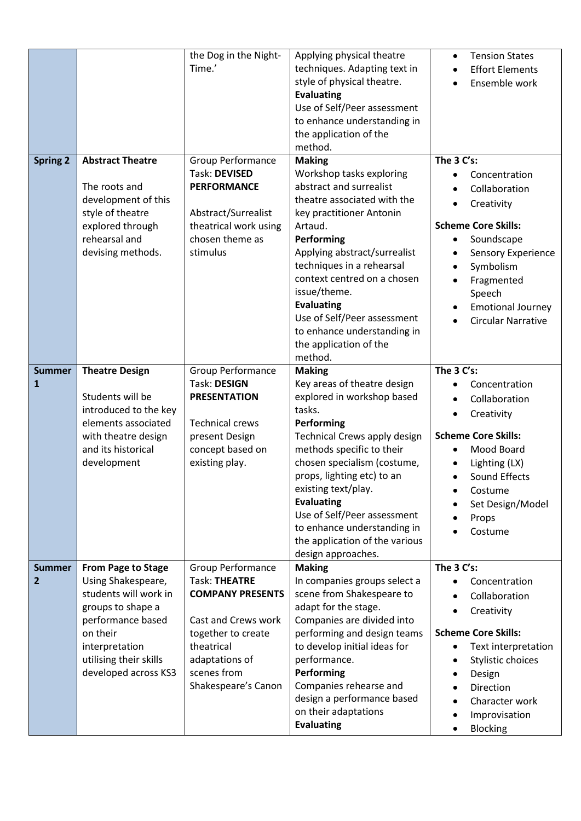|                    |                                                                                                                                                                                             | the Dog in the Night-<br>Time.'                                                                                                                                                         | Applying physical theatre<br>techniques. Adapting text in<br>style of physical theatre.<br><b>Evaluating</b><br>Use of Self/Peer assessment<br>to enhance understanding in<br>the application of the<br>method.                                                                                                                                                                                | <b>Tension States</b><br>$\bullet$<br><b>Effort Elements</b><br>Ensemble work                                                                                                                                              |
|--------------------|---------------------------------------------------------------------------------------------------------------------------------------------------------------------------------------------|-----------------------------------------------------------------------------------------------------------------------------------------------------------------------------------------|------------------------------------------------------------------------------------------------------------------------------------------------------------------------------------------------------------------------------------------------------------------------------------------------------------------------------------------------------------------------------------------------|----------------------------------------------------------------------------------------------------------------------------------------------------------------------------------------------------------------------------|
| <b>Spring 2</b>    | <b>Abstract Theatre</b><br>The roots and<br>development of this<br>style of theatre<br>explored through<br>rehearsal and<br>devising methods.                                               | Group Performance<br>Task: DEVISED<br><b>PERFORMANCE</b><br>Abstract/Surrealist<br>theatrical work using<br>chosen theme as<br>stimulus                                                 | <b>Making</b><br>Workshop tasks exploring<br>abstract and surrealist<br>theatre associated with the<br>key practitioner Antonin<br>Artaud.<br>Performing<br>Applying abstract/surrealist<br>techniques in a rehearsal<br>context centred on a chosen<br>issue/theme.<br><b>Evaluating</b><br>Use of Self/Peer assessment<br>to enhance understanding in<br>the application of the<br>method.   | The 3 C's:<br>Concentration<br>Collaboration<br>Creativity<br><b>Scheme Core Skills:</b><br>Soundscape<br>Sensory Experience<br>Symbolism<br>Fragmented<br>Speech<br><b>Emotional Journey</b><br><b>Circular Narrative</b> |
| <b>Summer</b><br>1 | <b>Theatre Design</b><br>Students will be<br>introduced to the key<br>elements associated<br>with theatre design<br>and its historical<br>development                                       | Group Performance<br><b>Task: DESIGN</b><br><b>PRESENTATION</b><br><b>Technical crews</b><br>present Design<br>concept based on<br>existing play.                                       | <b>Making</b><br>Key areas of theatre design<br>explored in workshop based<br>tasks.<br>Performing<br>Technical Crews apply design<br>methods specific to their<br>chosen specialism (costume,<br>props, lighting etc) to an<br>existing text/play.<br><b>Evaluating</b><br>Use of Self/Peer assessment<br>to enhance understanding in<br>the application of the various<br>design approaches. | The 3 C's:<br>Concentration<br>Collaboration<br>Creativity<br><b>Scheme Core Skills:</b><br>Mood Board<br>Lighting (LX)<br><b>Sound Effects</b><br>$\bullet$<br>Costume<br>Set Design/Model<br>Props<br>Costume            |
| <b>Summer</b><br>2 | From Page to Stage<br>Using Shakespeare,<br>students will work in<br>groups to shape a<br>performance based<br>on their<br>interpretation<br>utilising their skills<br>developed across KS3 | Group Performance<br><b>Task: THEATRE</b><br><b>COMPANY PRESENTS</b><br>Cast and Crews work<br>together to create<br>theatrical<br>adaptations of<br>scenes from<br>Shakespeare's Canon | <b>Making</b><br>In companies groups select a<br>scene from Shakespeare to<br>adapt for the stage.<br>Companies are divided into<br>performing and design teams<br>to develop initial ideas for<br>performance.<br>Performing<br>Companies rehearse and<br>design a performance based<br>on their adaptations<br><b>Evaluating</b>                                                             | The 3 C's:<br>Concentration<br>Collaboration<br>Creativity<br><b>Scheme Core Skills:</b><br>Text interpretation<br>Stylistic choices<br>Design<br>Direction<br>Character work<br>Improvisation<br>Blocking                 |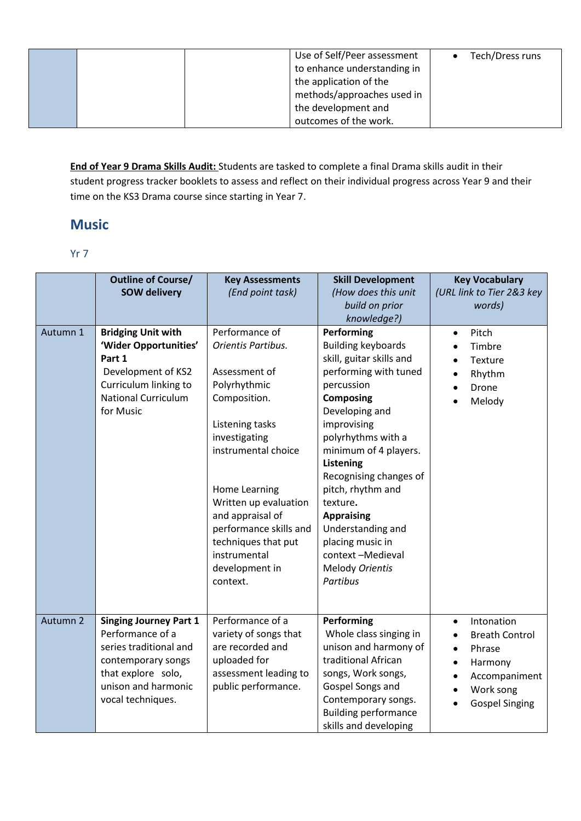|  | Use of Self/Peer assessment | Tech/Dress runs |
|--|-----------------------------|-----------------|
|  | to enhance understanding in |                 |
|  | the application of the      |                 |
|  | methods/approaches used in  |                 |
|  | the development and         |                 |
|  | outcomes of the work.       |                 |

**End of Year 9 Drama Skills Audit:** Students are tasked to complete a final Drama skills audit in their student progress tracker booklets to assess and reflect on their individual progress across Year 9 and their time on the KS3 Drama course since starting in Year 7.

## **Music**

#### Yr 7

|          | <b>Outline of Course/</b><br><b>SOW delivery</b>                                                                                                                    | <b>Key Assessments</b><br>(End point task)                                                                                                                                                                                                                                                                    | <b>Skill Development</b><br>(How does this unit<br>build on prior<br>knowledge?)                                                                                                                                                                                                                                                                                                                                      | <b>Key Vocabulary</b><br>(URL link to Tier 2&3 key<br>words)                                                                                                        |
|----------|---------------------------------------------------------------------------------------------------------------------------------------------------------------------|---------------------------------------------------------------------------------------------------------------------------------------------------------------------------------------------------------------------------------------------------------------------------------------------------------------|-----------------------------------------------------------------------------------------------------------------------------------------------------------------------------------------------------------------------------------------------------------------------------------------------------------------------------------------------------------------------------------------------------------------------|---------------------------------------------------------------------------------------------------------------------------------------------------------------------|
| Autumn 1 | <b>Bridging Unit with</b><br>'Wider Opportunities'<br>Part 1<br>Development of KS2<br>Curriculum linking to<br><b>National Curriculum</b><br>for Music              | Performance of<br>Orientis Partibus.<br>Assessment of<br>Polyrhythmic<br>Composition.<br>Listening tasks<br>investigating<br>instrumental choice<br>Home Learning<br>Written up evaluation<br>and appraisal of<br>performance skills and<br>techniques that put<br>instrumental<br>development in<br>context. | Performing<br><b>Building keyboards</b><br>skill, guitar skills and<br>performing with tuned<br>percussion<br><b>Composing</b><br>Developing and<br>improvising<br>polyrhythms with a<br>minimum of 4 players.<br><b>Listening</b><br>Recognising changes of<br>pitch, rhythm and<br>texture.<br><b>Appraising</b><br>Understanding and<br>placing music in<br>context-Medieval<br><b>Melody Orientis</b><br>Partibus | Pitch<br>$\bullet$<br>Timbre<br>Texture<br>Rhythm<br>Drone<br>Melody                                                                                                |
| Autumn 2 | <b>Singing Journey Part 1</b><br>Performance of a<br>series traditional and<br>contemporary songs<br>that explore solo,<br>unison and harmonic<br>vocal techniques. | Performance of a<br>variety of songs that<br>are recorded and<br>uploaded for<br>assessment leading to<br>public performance.                                                                                                                                                                                 | Performing<br>Whole class singing in<br>unison and harmony of<br>traditional African<br>songs, Work songs,<br>Gospel Songs and<br>Contemporary songs.<br><b>Building performance</b><br>skills and developing                                                                                                                                                                                                         | Intonation<br>$\bullet$<br><b>Breath Control</b><br>Phrase<br>$\bullet$<br>Harmony<br>$\bullet$<br>Accompaniment<br>$\bullet$<br>Work song<br><b>Gospel Singing</b> |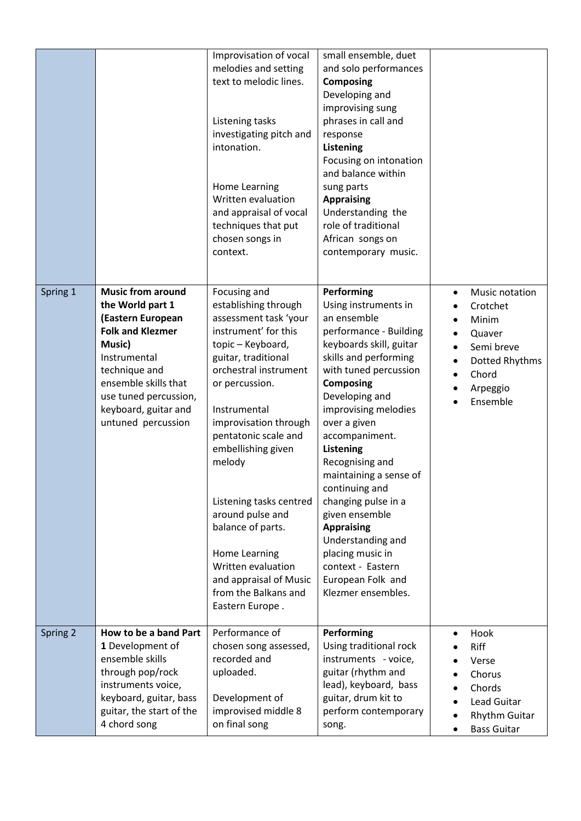|          |                                                                                                                                                                                                                                        | Improvisation of vocal<br>melodies and setting<br>text to melodic lines.<br>Listening tasks<br>investigating pitch and<br>intonation.<br><b>Home Learning</b><br>Written evaluation<br>and appraisal of vocal<br>techniques that put<br>chosen songs in<br>context.                                                                                                                                                                                           | small ensemble, duet<br>and solo performances<br><b>Composing</b><br>Developing and<br>improvising sung<br>phrases in call and<br>response<br>Listening<br>Focusing on intonation<br>and balance within<br>sung parts<br><b>Appraising</b><br>Understanding the<br>role of traditional<br>African songs on<br>contemporary music.                                                                                                                                                                           |                                                                                                                                          |
|----------|----------------------------------------------------------------------------------------------------------------------------------------------------------------------------------------------------------------------------------------|---------------------------------------------------------------------------------------------------------------------------------------------------------------------------------------------------------------------------------------------------------------------------------------------------------------------------------------------------------------------------------------------------------------------------------------------------------------|-------------------------------------------------------------------------------------------------------------------------------------------------------------------------------------------------------------------------------------------------------------------------------------------------------------------------------------------------------------------------------------------------------------------------------------------------------------------------------------------------------------|------------------------------------------------------------------------------------------------------------------------------------------|
| Spring 1 | <b>Music from around</b><br>the World part 1<br>(Eastern European<br><b>Folk and Klezmer</b><br>Music)<br>Instrumental<br>technique and<br>ensemble skills that<br>use tuned percussion,<br>keyboard, guitar and<br>untuned percussion | Focusing and<br>establishing through<br>assessment task 'your<br>instrument' for this<br>topic - Keyboard,<br>guitar, traditional<br>orchestral instrument<br>or percussion.<br>Instrumental<br>improvisation through<br>pentatonic scale and<br>embellishing given<br>melody<br>Listening tasks centred<br>around pulse and<br>balance of parts.<br>Home Learning<br>Written evaluation<br>and appraisal of Music<br>from the Balkans and<br>Eastern Europe. | Performing<br>Using instruments in<br>an ensemble<br>performance - Building<br>keyboards skill, guitar<br>skills and performing<br>with tuned percussion<br><b>Composing</b><br>Developing and<br>improvising melodies<br>over a given<br>accompaniment.<br>Listening<br>Recognising and<br>maintaining a sense of<br>continuing and<br>changing pulse in a<br>given ensemble<br><b>Appraising</b><br>Understanding and<br>placing music in<br>context - Eastern<br>European Folk and<br>Klezmer ensembles. | Music notation<br>$\bullet$<br>Crotchet<br>Minim<br>Quaver<br>Semi breve<br>Dotted Rhythms<br>Chord<br>$\bullet$<br>Arpeggio<br>Ensemble |
| Spring 2 | How to be a band Part<br>1 Development of<br>ensemble skills<br>through pop/rock<br>instruments voice,<br>keyboard, guitar, bass<br>guitar, the start of the<br>4 chord song                                                           | Performance of<br>chosen song assessed,<br>recorded and<br>uploaded.<br>Development of<br>improvised middle 8<br>on final song                                                                                                                                                                                                                                                                                                                                | Performing<br>Using traditional rock<br>instruments - voice,<br>guitar (rhythm and<br>lead), keyboard, bass<br>guitar, drum kit to<br>perform contemporary<br>song.                                                                                                                                                                                                                                                                                                                                         | Hook<br>Riff<br>Verse<br>Chorus<br>Chords<br><b>Lead Guitar</b><br><b>Rhythm Guitar</b><br><b>Bass Guitar</b>                            |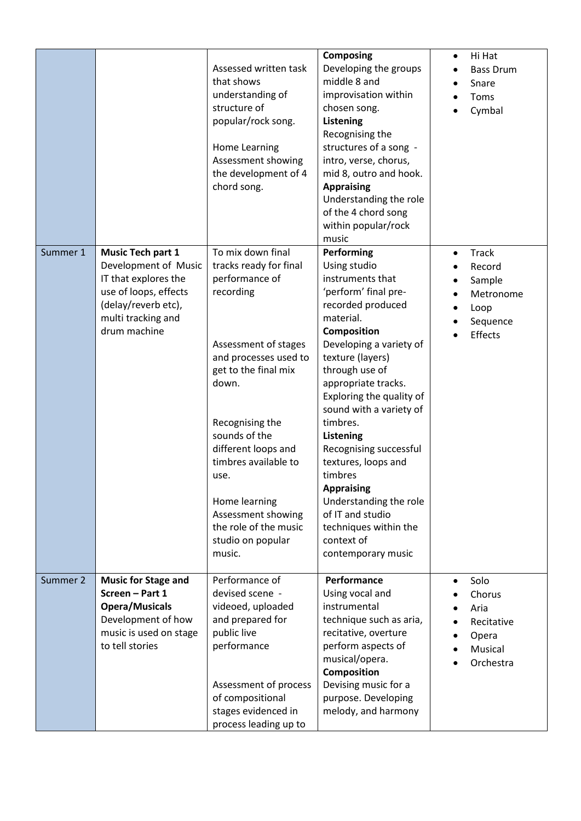|          |                                                                                                                                                                | Assessed written task<br>that shows<br>understanding of<br>structure of<br>popular/rock song.<br>Home Learning<br>Assessment showing<br>the development of 4<br>chord song.                                                                                                                                                                            | <b>Composing</b><br>Developing the groups<br>middle 8 and<br>improvisation within<br>chosen song.<br><b>Listening</b><br>Recognising the<br>structures of a song -<br>intro, verse, chorus,<br>mid 8, outro and hook.<br><b>Appraising</b><br>Understanding the role<br>of the 4 chord song<br>within popular/rock<br>music                                                                                                                                                                               | Hi Hat<br>$\bullet$<br><b>Bass Drum</b><br>Snare<br>Toms<br>Cymbal                        |
|----------|----------------------------------------------------------------------------------------------------------------------------------------------------------------|--------------------------------------------------------------------------------------------------------------------------------------------------------------------------------------------------------------------------------------------------------------------------------------------------------------------------------------------------------|-----------------------------------------------------------------------------------------------------------------------------------------------------------------------------------------------------------------------------------------------------------------------------------------------------------------------------------------------------------------------------------------------------------------------------------------------------------------------------------------------------------|-------------------------------------------------------------------------------------------|
| Summer 1 | <b>Music Tech part 1</b><br>Development of Music<br>IT that explores the<br>use of loops, effects<br>(delay/reverb etc),<br>multi tracking and<br>drum machine | To mix down final<br>tracks ready for final<br>performance of<br>recording<br>Assessment of stages<br>and processes used to<br>get to the final mix<br>down.<br>Recognising the<br>sounds of the<br>different loops and<br>timbres available to<br>use.<br>Home learning<br>Assessment showing<br>the role of the music<br>studio on popular<br>music. | Performing<br>Using studio<br>instruments that<br>'perform' final pre-<br>recorded produced<br>material.<br><b>Composition</b><br>Developing a variety of<br>texture (layers)<br>through use of<br>appropriate tracks.<br>Exploring the quality of<br>sound with a variety of<br>timbres.<br><b>Listening</b><br>Recognising successful<br>textures, loops and<br>timbres<br><b>Appraising</b><br>Understanding the role<br>of IT and studio<br>techniques within the<br>context of<br>contemporary music | <b>Track</b><br>$\bullet$<br>Record<br>Sample<br>Metronome<br>Loop<br>Sequence<br>Effects |
| Summer 2 | <b>Music for Stage and</b><br>Screen - Part 1<br><b>Opera/Musicals</b><br>Development of how<br>music is used on stage<br>to tell stories                      | Performance of<br>devised scene -<br>videoed, uploaded<br>and prepared for<br>public live<br>performance<br>Assessment of process<br>of compositional<br>stages evidenced in<br>process leading up to                                                                                                                                                  | Performance<br>Using vocal and<br>instrumental<br>technique such as aria,<br>recitative, overture<br>perform aspects of<br>musical/opera.<br><b>Composition</b><br>Devising music for a<br>purpose. Developing<br>melody, and harmony                                                                                                                                                                                                                                                                     | Solo<br>$\bullet$<br>Chorus<br>Aria<br>Recitative<br>Opera<br>Musical<br>Orchestra        |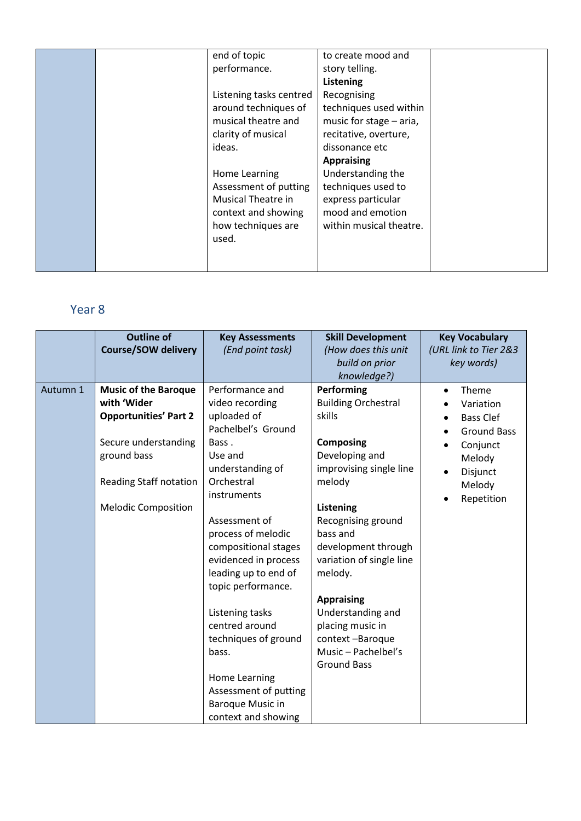| end of topic<br>performance.<br>Listening tasks centred                                                            | to create mood and<br>story telling.<br><b>Listening</b><br>Recognising                                           |  |
|--------------------------------------------------------------------------------------------------------------------|-------------------------------------------------------------------------------------------------------------------|--|
| around techniques of<br>musical theatre and<br>clarity of musical<br>ideas.                                        | techniques used within<br>music for stage - aria,<br>recitative, overture,<br>dissonance etc<br><b>Appraising</b> |  |
| Home Learning<br>Assessment of putting<br>Musical Theatre in<br>context and showing<br>how techniques are<br>used. | Understanding the<br>techniques used to<br>express particular<br>mood and emotion<br>within musical theatre.      |  |

## Year 8

|          | <b>Outline of</b><br><b>Course/SOW delivery</b>                                                                                                                                  | <b>Key Assessments</b><br>(End point task)                                                                                                                                                                                                                                                                                                                                                                                                          | <b>Skill Development</b><br>(How does this unit<br>build on prior<br>knowledge?)                                                                                                                                                                                                                                                                                                | <b>Key Vocabulary</b><br>(URL link to Tier 2&3<br>key words)                                                                        |
|----------|----------------------------------------------------------------------------------------------------------------------------------------------------------------------------------|-----------------------------------------------------------------------------------------------------------------------------------------------------------------------------------------------------------------------------------------------------------------------------------------------------------------------------------------------------------------------------------------------------------------------------------------------------|---------------------------------------------------------------------------------------------------------------------------------------------------------------------------------------------------------------------------------------------------------------------------------------------------------------------------------------------------------------------------------|-------------------------------------------------------------------------------------------------------------------------------------|
| Autumn 1 | <b>Music of the Baroque</b><br>with 'Wider<br><b>Opportunities' Part 2</b><br>Secure understanding<br>ground bass<br><b>Reading Staff notation</b><br><b>Melodic Composition</b> | Performance and<br>video recording<br>uploaded of<br>Pachelbel's Ground<br>Bass.<br>Use and<br>understanding of<br>Orchestral<br>instruments<br>Assessment of<br>process of melodic<br>compositional stages<br>evidenced in process<br>leading up to end of<br>topic performance.<br>Listening tasks<br>centred around<br>techniques of ground<br>bass.<br>Home Learning<br>Assessment of putting<br><b>Baroque Music in</b><br>context and showing | Performing<br><b>Building Orchestral</b><br>skills<br><b>Composing</b><br>Developing and<br>improvising single line<br>melody<br><b>Listening</b><br>Recognising ground<br>bass and<br>development through<br>variation of single line<br>melody.<br><b>Appraising</b><br>Understanding and<br>placing music in<br>context-Baroque<br>Music - Pachelbel's<br><b>Ground Bass</b> | Theme<br>Variation<br><b>Bass Clef</b><br><b>Ground Bass</b><br>Conjunct<br>Melody<br>Disjunct<br>$\bullet$<br>Melody<br>Repetition |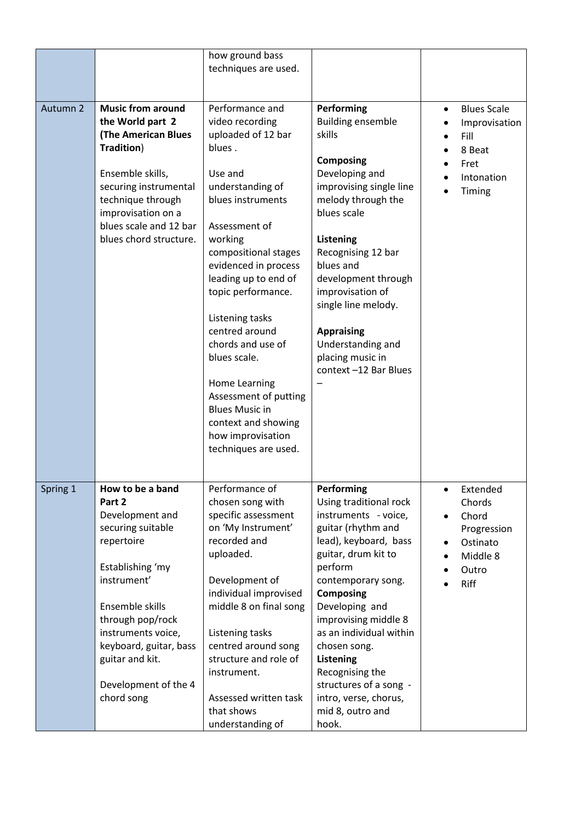|          |                                                                                                                                                                                                                                                                     | how ground bass<br>techniques are used.                                                                                                                                                                                                                                                                                                                                                                                                                           |                                                                                                                                                                                                                                                                                                                                                                                                     |                                                                                                                            |
|----------|---------------------------------------------------------------------------------------------------------------------------------------------------------------------------------------------------------------------------------------------------------------------|-------------------------------------------------------------------------------------------------------------------------------------------------------------------------------------------------------------------------------------------------------------------------------------------------------------------------------------------------------------------------------------------------------------------------------------------------------------------|-----------------------------------------------------------------------------------------------------------------------------------------------------------------------------------------------------------------------------------------------------------------------------------------------------------------------------------------------------------------------------------------------------|----------------------------------------------------------------------------------------------------------------------------|
| Autumn 2 | <b>Music from around</b><br>the World part 2<br><b>(The American Blues</b><br>Tradition)<br>Ensemble skills,<br>securing instrumental<br>technique through<br>improvisation on a<br>blues scale and 12 bar<br>blues chord structure.                                | Performance and<br>video recording<br>uploaded of 12 bar<br>blues.<br>Use and<br>understanding of<br>blues instruments<br>Assessment of<br>working<br>compositional stages<br>evidenced in process<br>leading up to end of<br>topic performance.<br>Listening tasks<br>centred around<br>chords and use of<br>blues scale.<br>Home Learning<br>Assessment of putting<br><b>Blues Music in</b><br>context and showing<br>how improvisation<br>techniques are used. | Performing<br><b>Building ensemble</b><br>skills<br><b>Composing</b><br>Developing and<br>improvising single line<br>melody through the<br>blues scale<br><b>Listening</b><br>Recognising 12 bar<br>blues and<br>development through<br>improvisation of<br>single line melody.<br><b>Appraising</b><br>Understanding and<br>placing music in<br>context-12 Bar Blues                               | <b>Blues Scale</b><br>$\bullet$<br>Improvisation<br>Fill<br>8 Beat<br>Fret<br>Intonation<br>Timing                         |
| Spring 1 | How to be a band<br>Part 2<br>Development and<br>securing suitable<br>repertoire<br>Establishing 'my<br>instrument'<br>Ensemble skills<br>through pop/rock<br>instruments voice,<br>keyboard, guitar, bass<br>guitar and kit.<br>Development of the 4<br>chord song | Performance of<br>chosen song with<br>specific assessment<br>on 'My Instrument'<br>recorded and<br>uploaded.<br>Development of<br>individual improvised<br>middle 8 on final song<br>Listening tasks<br>centred around song<br>structure and role of<br>instrument.<br>Assessed written task<br>that shows<br>understanding of                                                                                                                                    | Performing<br>Using traditional rock<br>instruments - voice,<br>guitar (rhythm and<br>lead), keyboard, bass<br>guitar, drum kit to<br>perform<br>contemporary song.<br><b>Composing</b><br>Developing and<br>improvising middle 8<br>as an individual within<br>chosen song.<br><b>Listening</b><br>Recognising the<br>structures of a song -<br>intro, verse, chorus,<br>mid 8, outro and<br>hook. | Extended<br>$\bullet$<br>Chords<br>Chord<br>$\bullet$<br>Progression<br>Ostinato<br>Middle 8<br>$\bullet$<br>Outro<br>Riff |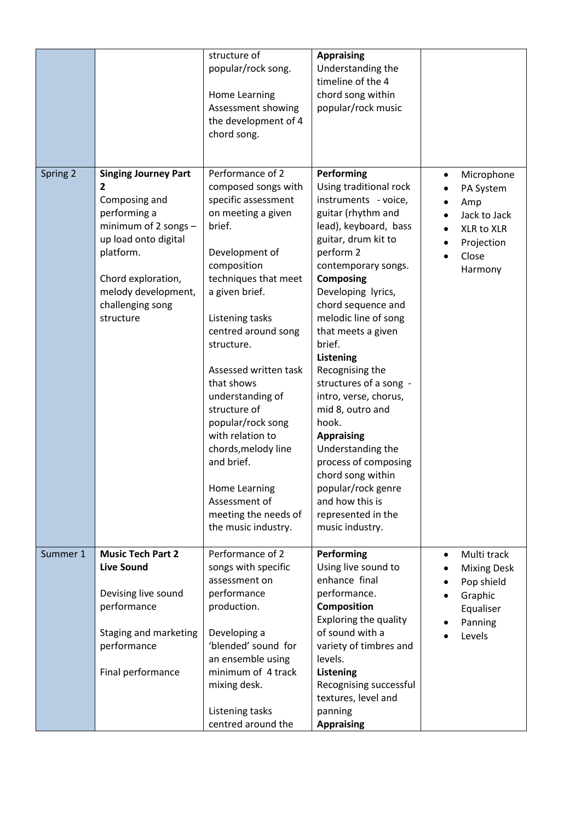|          |                                                                                                                                                                                                              | structure of<br>popular/rock song.<br>Home Learning<br>Assessment showing<br>the development of 4<br>chord song.                                                                                                                                                                                                                                                                                                                                                            | <b>Appraising</b><br>Understanding the<br>timeline of the 4<br>chord song within<br>popular/rock music                                                                                                                                                                                                                                                                                                                                                                                                                                                                                  |                                                                                                           |
|----------|--------------------------------------------------------------------------------------------------------------------------------------------------------------------------------------------------------------|-----------------------------------------------------------------------------------------------------------------------------------------------------------------------------------------------------------------------------------------------------------------------------------------------------------------------------------------------------------------------------------------------------------------------------------------------------------------------------|-----------------------------------------------------------------------------------------------------------------------------------------------------------------------------------------------------------------------------------------------------------------------------------------------------------------------------------------------------------------------------------------------------------------------------------------------------------------------------------------------------------------------------------------------------------------------------------------|-----------------------------------------------------------------------------------------------------------|
| Spring 2 | <b>Singing Journey Part</b><br>2<br>Composing and<br>performing a<br>minimum of 2 songs -<br>up load onto digital<br>platform.<br>Chord exploration,<br>melody development,<br>challenging song<br>structure | Performance of 2<br>composed songs with<br>specific assessment<br>on meeting a given<br>brief.<br>Development of<br>composition<br>techniques that meet<br>a given brief.<br>Listening tasks<br>centred around song<br>structure.<br>Assessed written task<br>that shows<br>understanding of<br>structure of<br>popular/rock song<br>with relation to<br>chords, melody line<br>and brief.<br>Home Learning<br>Assessment of<br>meeting the needs of<br>the music industry. | Performing<br>Using traditional rock<br>instruments - voice,<br>guitar (rhythm and<br>lead), keyboard, bass<br>guitar, drum kit to<br>perform 2<br>contemporary songs.<br><b>Composing</b><br>Developing lyrics,<br>chord sequence and<br>melodic line of song<br>that meets a given<br>brief.<br>Listening<br>Recognising the<br>structures of a song -<br>intro, verse, chorus,<br>mid 8, outro and<br>hook.<br><b>Appraising</b><br>Understanding the<br>process of composing<br>chord song within<br>popular/rock genre<br>and how this is<br>represented in the<br>music industry. | Microphone<br>٠<br>PA System<br>Amp<br>Jack to Jack<br>XLR to XLR<br>Projection<br>Close<br>Harmony       |
| Summer 1 | <b>Music Tech Part 2</b><br><b>Live Sound</b><br>Devising live sound<br>performance<br>Staging and marketing<br>performance<br>Final performance                                                             | Performance of 2<br>songs with specific<br>assessment on<br>performance<br>production.<br>Developing a<br>'blended' sound for<br>an ensemble using<br>minimum of 4 track<br>mixing desk.<br>Listening tasks<br>centred around the                                                                                                                                                                                                                                           | Performing<br>Using live sound to<br>enhance final<br>performance.<br>Composition<br>Exploring the quality<br>of sound with a<br>variety of timbres and<br>levels.<br><b>Listening</b><br>Recognising successful<br>textures, level and<br>panning<br><b>Appraising</b>                                                                                                                                                                                                                                                                                                                 | Multi track<br>$\bullet$<br><b>Mixing Desk</b><br>Pop shield<br>Graphic<br>Equaliser<br>Panning<br>Levels |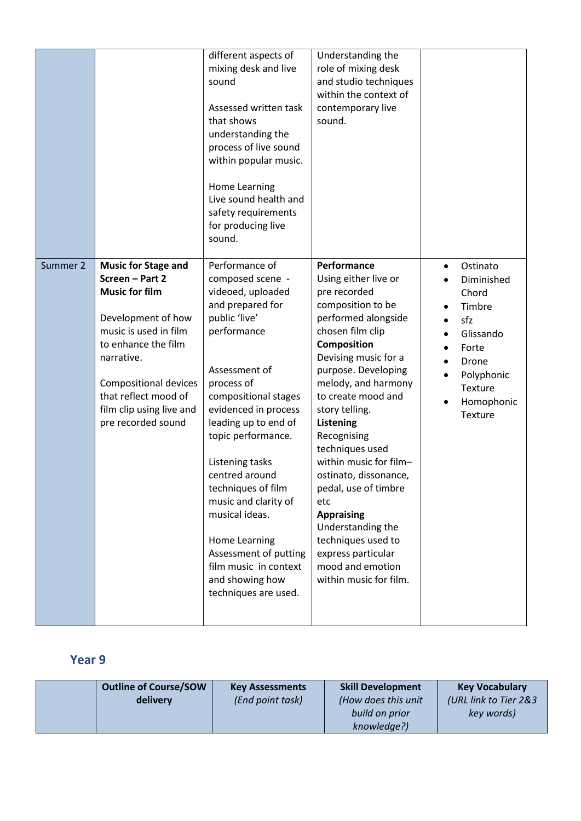|          |                                                                                                                                                                                                                                                                      | different aspects of<br>mixing desk and live<br>sound<br>Assessed written task<br>that shows<br>understanding the<br>process of live sound<br>within popular music.<br>Home Learning<br>Live sound health and<br>safety requirements<br>for producing live<br>sound.                                                                                                                                                                                        | Understanding the<br>role of mixing desk<br>and studio techniques<br>within the context of<br>contemporary live<br>sound.                                                                                                                                                                                                                                                                                                                                                                                             |                                                                                                                                                       |
|----------|----------------------------------------------------------------------------------------------------------------------------------------------------------------------------------------------------------------------------------------------------------------------|-------------------------------------------------------------------------------------------------------------------------------------------------------------------------------------------------------------------------------------------------------------------------------------------------------------------------------------------------------------------------------------------------------------------------------------------------------------|-----------------------------------------------------------------------------------------------------------------------------------------------------------------------------------------------------------------------------------------------------------------------------------------------------------------------------------------------------------------------------------------------------------------------------------------------------------------------------------------------------------------------|-------------------------------------------------------------------------------------------------------------------------------------------------------|
| Summer 2 | <b>Music for Stage and</b><br>Screen - Part 2<br><b>Music for film</b><br>Development of how<br>music is used in film<br>to enhance the film<br>narrative.<br><b>Compositional devices</b><br>that reflect mood of<br>film clip using live and<br>pre recorded sound | Performance of<br>composed scene -<br>videoed, uploaded<br>and prepared for<br>public 'live'<br>performance<br>Assessment of<br>process of<br>compositional stages<br>evidenced in process<br>leading up to end of<br>topic performance.<br>Listening tasks<br>centred around<br>techniques of film<br>music and clarity of<br>musical ideas.<br>Home Learning<br>Assessment of putting<br>film music in context<br>and showing how<br>techniques are used. | Performance<br>Using either live or<br>pre recorded<br>composition to be<br>performed alongside<br>chosen film clip<br>Composition<br>Devising music for a<br>purpose. Developing<br>melody, and harmony<br>to create mood and<br>story telling.<br>Listening<br>Recognising<br>techniques used<br>within music for film-<br>ostinato, dissonance,<br>pedal, use of timbre<br>etc<br><b>Appraising</b><br>Understanding the<br>techniques used to<br>express particular<br>mood and emotion<br>within music for film. | Ostinato<br>$\bullet$<br>Diminished<br>Chord<br>Timbre<br>sfz<br>Glissando<br>Forte<br>Drone<br>Polyphonic<br>Texture<br>Homophonic<br><b>Texture</b> |

### **Year 9**

| <b>Outline of Course/SOW</b> | <b>Key Assessments</b> | <b>Skill Development</b> | <b>Key Vocabulary</b> |
|------------------------------|------------------------|--------------------------|-----------------------|
| delivery                     | (End point task)       | (How does this unit      | (URL link to Tier 2&3 |
|                              |                        | build on prior           | key words)            |
|                              |                        | knowledge?)              |                       |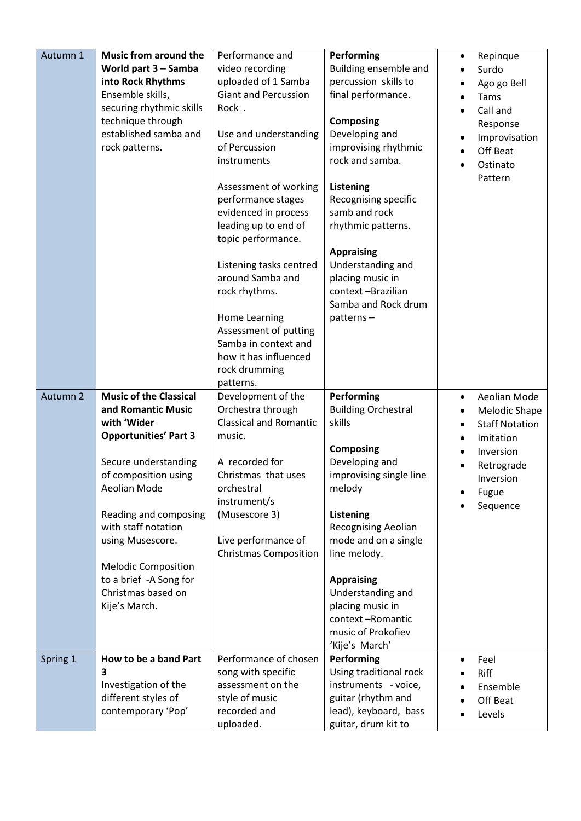| Autumn 1 | <b>Music from around the</b>  | Performance and               | Performing                           | Repinque<br>$\bullet$     |
|----------|-------------------------------|-------------------------------|--------------------------------------|---------------------------|
|          | World part 3 - Samba          | video recording               | Building ensemble and                | Surdo                     |
|          | into Rock Rhythms             | uploaded of 1 Samba           | percussion skills to                 | Ago go Bell               |
|          | Ensemble skills,              | <b>Giant and Percussion</b>   | final performance.                   | Tams                      |
|          | securing rhythmic skills      | Rock.                         |                                      | Call and                  |
|          | technique through             |                               | <b>Composing</b>                     | Response                  |
|          | established samba and         | Use and understanding         | Developing and                       |                           |
|          | rock patterns.                | of Percussion                 | improvising rhythmic                 | Improvisation<br>Off Beat |
|          |                               | instruments                   | rock and samba.                      |                           |
|          |                               |                               |                                      | Ostinato                  |
|          |                               | Assessment of working         | Listening                            | Pattern                   |
|          |                               | performance stages            | Recognising specific                 |                           |
|          |                               | evidenced in process          | samb and rock                        |                           |
|          |                               | leading up to end of          | rhythmic patterns.                   |                           |
|          |                               | topic performance.            |                                      |                           |
|          |                               |                               | <b>Appraising</b>                    |                           |
|          |                               | Listening tasks centred       | Understanding and                    |                           |
|          |                               | around Samba and              | placing music in                     |                           |
|          |                               | rock rhythms.                 | context-Brazilian                    |                           |
|          |                               |                               | Samba and Rock drum                  |                           |
|          |                               | Home Learning                 | patterns-                            |                           |
|          |                               | Assessment of putting         |                                      |                           |
|          |                               | Samba in context and          |                                      |                           |
|          |                               | how it has influenced         |                                      |                           |
|          |                               | rock drumming                 |                                      |                           |
|          |                               | patterns.                     |                                      |                           |
|          |                               |                               |                                      |                           |
| Autumn 2 | <b>Music of the Classical</b> | Development of the            | Performing                           | Aeolian Mode<br>$\bullet$ |
|          | and Romantic Music            | Orchestra through             | <b>Building Orchestral</b>           | Melodic Shape<br>٠        |
|          | with 'Wider                   | <b>Classical and Romantic</b> | skills                               | <b>Staff Notation</b>     |
|          | <b>Opportunities' Part 3</b>  | music.                        |                                      | Imitation                 |
|          |                               |                               | <b>Composing</b>                     | Inversion                 |
|          | Secure understanding          | A recorded for                | Developing and                       | Retrograde                |
|          | of composition using          | Christmas that uses           | improvising single line              | Inversion                 |
|          | Aeolian Mode                  | orchestral                    | melody                               | Fugue                     |
|          |                               | instrument/s                  |                                      | Sequence                  |
|          | Reading and composing         | (Musescore 3)                 | Listening                            |                           |
|          | with staff notation           |                               | <b>Recognising Aeolian</b>           |                           |
|          | using Musescore.              | Live performance of           | mode and on a single                 |                           |
|          |                               | <b>Christmas Composition</b>  | line melody.                         |                           |
|          | <b>Melodic Composition</b>    |                               |                                      |                           |
|          | to a brief -A Song for        |                               | <b>Appraising</b>                    |                           |
|          | Christmas based on            |                               | Understanding and                    |                           |
|          | Kije's March.                 |                               | placing music in<br>context-Romantic |                           |
|          |                               |                               | music of Prokofiev                   |                           |
|          |                               |                               | 'Kije's March'                       |                           |
| Spring 1 | How to be a band Part         | Performance of chosen         | Performing                           | Feel                      |
|          | 3                             | song with specific            | Using traditional rock               | Riff                      |
|          | Investigation of the          | assessment on the             | instruments - voice,                 | Ensemble                  |
|          | different styles of           | style of music                | guitar (rhythm and                   |                           |
|          | contemporary 'Pop'            | recorded and                  | lead), keyboard, bass                | Off Beat<br>Levels        |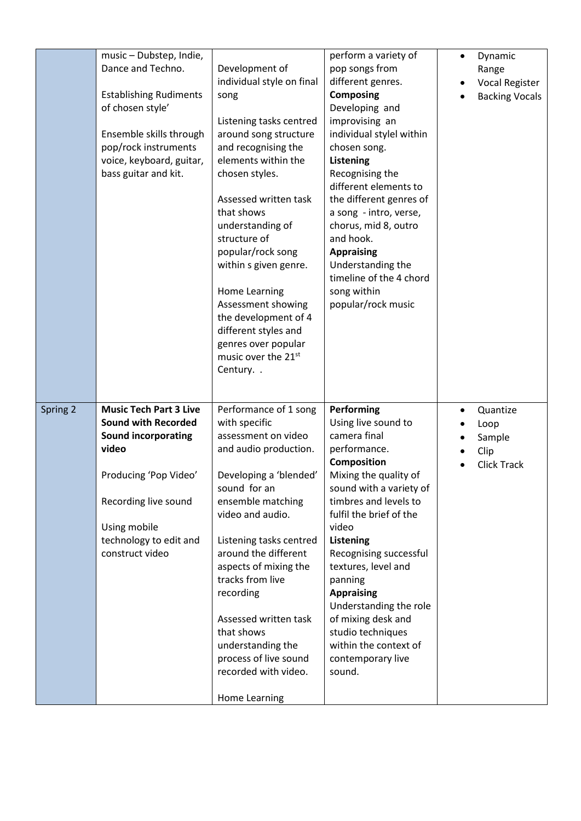|          | music - Dubstep, Indie,<br>Dance and Techno.<br><b>Establishing Rudiments</b><br>of chosen style'<br>Ensemble skills through<br>pop/rock instruments<br>voice, keyboard, guitar,<br>bass guitar and kit.         | Development of<br>individual style on final<br>song<br>Listening tasks centred<br>around song structure<br>and recognising the<br>elements within the<br>chosen styles.<br>Assessed written task<br>that shows<br>understanding of<br>structure of<br>popular/rock song<br>within s given genre.<br>Home Learning<br>Assessment showing<br>the development of 4<br>different styles and<br>genres over popular<br>music over the 21st<br>Century. . | perform a variety of<br>pop songs from<br>different genres.<br><b>Composing</b><br>Developing and<br>improvising an<br>individual stylel within<br>chosen song.<br>Listening<br>Recognising the<br>different elements to<br>the different genres of<br>a song - intro, verse,<br>chorus, mid 8, outro<br>and hook.<br><b>Appraising</b><br>Understanding the<br>timeline of the 4 chord<br>song within<br>popular/rock music        | Dynamic<br>$\bullet$<br>Range<br><b>Vocal Register</b><br><b>Backing Vocals</b> |
|----------|------------------------------------------------------------------------------------------------------------------------------------------------------------------------------------------------------------------|-----------------------------------------------------------------------------------------------------------------------------------------------------------------------------------------------------------------------------------------------------------------------------------------------------------------------------------------------------------------------------------------------------------------------------------------------------|-------------------------------------------------------------------------------------------------------------------------------------------------------------------------------------------------------------------------------------------------------------------------------------------------------------------------------------------------------------------------------------------------------------------------------------|---------------------------------------------------------------------------------|
| Spring 2 | <b>Music Tech Part 3 Live</b><br><b>Sound with Recorded</b><br><b>Sound incorporating</b><br>video<br>Producing 'Pop Video'<br>Recording live sound<br>Using mobile<br>technology to edit and<br>construct video | Performance of 1 song<br>with specific<br>assessment on video<br>and audio production.<br>Developing a 'blended'<br>sound for an<br>ensemble matching<br>video and audio.<br>Listening tasks centred<br>around the different<br>aspects of mixing the<br>tracks from live<br>recording<br>Assessed written task<br>that shows<br>understanding the<br>process of live sound<br>recorded with video.<br>Home Learning                                | Performing<br>Using live sound to<br>camera final<br>performance.<br>Composition<br>Mixing the quality of<br>sound with a variety of<br>timbres and levels to<br>fulfil the brief of the<br>video<br><b>Listening</b><br>Recognising successful<br>textures, level and<br>panning<br><b>Appraising</b><br>Understanding the role<br>of mixing desk and<br>studio techniques<br>within the context of<br>contemporary live<br>sound. | Quantize<br>٠<br>Loop<br>Sample<br>Clip<br><b>Click Track</b>                   |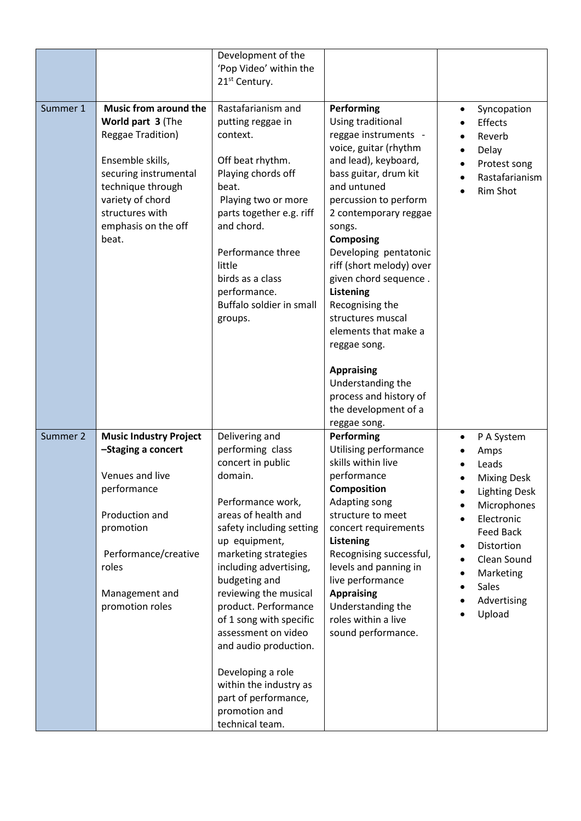|          |                                                                                                                                                                                                                        | Development of the<br>'Pop Video' within the<br>21 <sup>st</sup> Century.                                                                                                                                                                                                                                                                                                       |                                                                                                                                                                                                                                                                                                                                                                                                                                                              |                                                                                                                                                                                                               |
|----------|------------------------------------------------------------------------------------------------------------------------------------------------------------------------------------------------------------------------|---------------------------------------------------------------------------------------------------------------------------------------------------------------------------------------------------------------------------------------------------------------------------------------------------------------------------------------------------------------------------------|--------------------------------------------------------------------------------------------------------------------------------------------------------------------------------------------------------------------------------------------------------------------------------------------------------------------------------------------------------------------------------------------------------------------------------------------------------------|---------------------------------------------------------------------------------------------------------------------------------------------------------------------------------------------------------------|
| Summer 1 | <b>Music from around the</b><br>World part 3 (The<br><b>Reggae Tradition)</b><br>Ensemble skills,<br>securing instrumental<br>technique through<br>variety of chord<br>structures with<br>emphasis on the off<br>beat. | Rastafarianism and<br>putting reggae in<br>context.<br>Off beat rhythm.<br>Playing chords off<br>beat.<br>Playing two or more<br>parts together e.g. riff<br>and chord.<br>Performance three<br>little<br>birds as a class<br>performance.<br>Buffalo soldier in small<br>groups.                                                                                               | Performing<br>Using traditional<br>reggae instruments -<br>voice, guitar (rhythm<br>and lead), keyboard,<br>bass guitar, drum kit<br>and untuned<br>percussion to perform<br>2 contemporary reggae<br>songs.<br><b>Composing</b><br>Developing pentatonic<br>riff (short melody) over<br>given chord sequence.<br><b>Listening</b><br>Recognising the<br>structures muscal<br>elements that make a<br>reggae song.<br><b>Appraising</b><br>Understanding the | Syncopation<br>$\bullet$<br>Effects<br>Reverb<br>Delay<br>Protest song<br>Rastafarianism<br>$\bullet$<br>Rim Shot                                                                                             |
|          |                                                                                                                                                                                                                        |                                                                                                                                                                                                                                                                                                                                                                                 | process and history of<br>the development of a<br>reggae song.                                                                                                                                                                                                                                                                                                                                                                                               |                                                                                                                                                                                                               |
| Summer 2 | <b>Music Industry Project</b><br>-Staging a concert<br>Venues and live<br>performance<br>Production and<br>promotion<br>Performance/creative<br>roles<br>Management and<br>promotion roles                             | Delivering and<br>performing class<br>concert in public<br>domain.<br>Performance work,<br>areas of health and<br>safety including setting<br>up equipment,<br>marketing strategies<br>including advertising,<br>budgeting and<br>reviewing the musical<br>product. Performance<br>of 1 song with specific<br>assessment on video<br>and audio production.<br>Developing a role | Performing<br>Utilising performance<br>skills within live<br>performance<br>Composition<br>Adapting song<br>structure to meet<br>concert requirements<br>Listening<br>Recognising successful,<br>levels and panning in<br>live performance<br><b>Appraising</b><br>Understanding the<br>roles within a live<br>sound performance.                                                                                                                            | P A System<br>Amps<br>Leads<br><b>Mixing Desk</b><br><b>Lighting Desk</b><br>Microphones<br>Electronic<br><b>Feed Back</b><br>Distortion<br>Clean Sound<br>Marketing<br><b>Sales</b><br>Advertising<br>Upload |
|          |                                                                                                                                                                                                                        | within the industry as<br>part of performance,<br>promotion and<br>technical team.                                                                                                                                                                                                                                                                                              |                                                                                                                                                                                                                                                                                                                                                                                                                                                              |                                                                                                                                                                                                               |